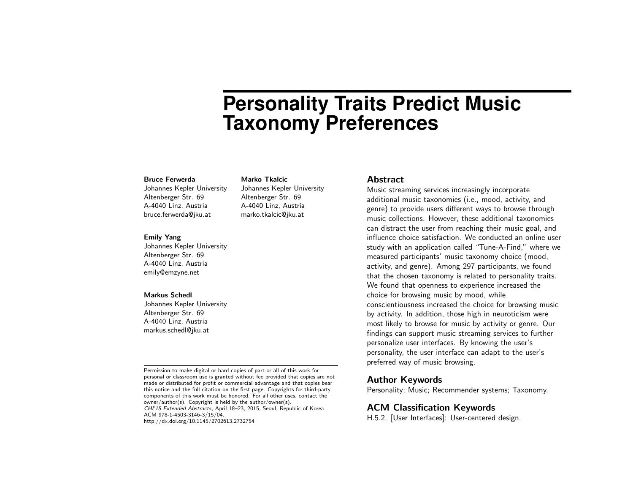# **Personality Traits Predict Music Taxonomy Preferences**

#### Bruce Ferwerda

Johannes Kepler University Altenberger Str. 69 A-4040 Linz, Austria bruce.ferwerda@jku.at

#### Emily Yang

Johannes Kepler University Altenberger Str. 69 A-4040 Linz, Austria emily@emzyne.net

#### Markus Schedl

Johannes Kepler University Altenberger Str. 69 A-4040 Linz, Austria markus.schedl@jku.at

Permission to make digital or hard copies of part or all of this work for personal or classroom use is granted without fee provided that copies are not made or distributed for profit or commercial advantage and that copies bear this notice and the full citation on the first page. Copyrights for third-party components of this work must be honored. For all other uses, contact the owner/author(s). Copyright is held by the author/owner(s). CHI'15 Extended Abstracts, April 18–23, 2015, Seoul, Republic of Korea. ACM 978-1-4503-3146-3/15/04.

http://dx.doi.org/10.1145/2702613.2732754

#### Marko Tkalcic

Johannes Kepler University Altenberger Str. 69 A-4040 Linz, Austria marko.tkalcic@jku.at

#### Abstract

Music streaming services increasingly incorporate additional music taxonomies (i.e., mood, activity, and genre) to provide users different ways to browse through music collections. However, these additional taxonomies can distract the user from reaching their music goal, and influence choice satisfaction. We conducted an online user study with an application called "Tune-A-Find," where we measured participants' music taxonomy choice (mood, activity, and genre). Among 297 participants, we found that the chosen taxonomy is related to personality traits. We found that openness to experience increased the choice for browsing music by mood, while conscientiousness increased the choice for browsing music by activity. In addition, those high in neuroticism were most likely to browse for music by activity or genre. Our findings can support music streaming services to further personalize user interfaces. By knowing the user's personality, the user interface can adapt to the user's preferred way of music browsing.

## Author Keywords

Personality; Music; Recommender systems; Taxonomy.

## ACM Classification Keywords

H.5.2. [User Interfaces]: User-centered design.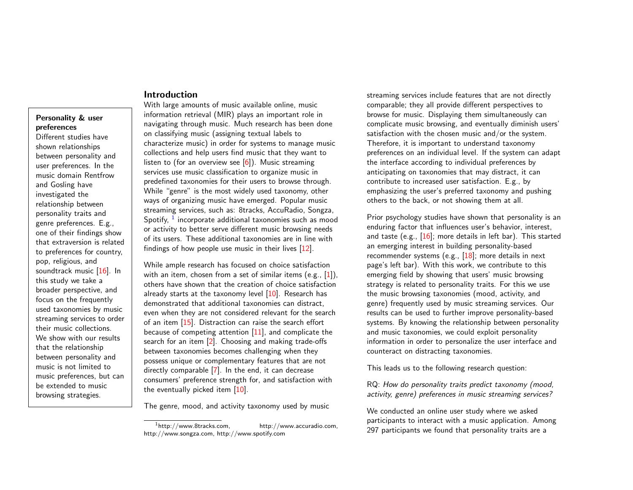## Introduction

# Personality & user preferences

Different studies have shown relationships between personality and user preferences. In the music domain Rentfrow and Gosling have investigated the relationship between personality traits and genre preferences. E.g., one of their findings show that extraversion is related to preferences for country, pop, religious, and soundtrack music [\[16\]](#page-5-0). In this study we take a broader perspective, and focus on the frequently used taxonomies by music streaming services to order their music collections. We show with our results that the relationship between personality and music is not limited to music preferences, but can be extended to music browsing strategies.

With large amounts of music available online, music information retrieval (MIR) plays an important role in navigating through music. Much research has been done on classifying music (assigning textual labels to characterize music) in order for systems to manage music collections and help users find music that they want to listen to (for an overview see  $[6]$ ). Music streaming services use music classification to organize music in predefined taxonomies for their users to browse through. While "genre" is the most widely used taxonomy, other ways of organizing music have emerged. Popular music streaming services, such as: 8tracks, AccuRadio, Songza, Spotify,  $^1$  $^1$  incorporate additional taxonomies such as mood or activity to better serve different music browsing needs of its users. These additional taxonomies are in line with findings of how people use music in their lives [\[12\]](#page-5-2).

While ample research has focused on choice satisfaction with an item, chosen from a set of similar items (e.g., [\[1\]](#page-5-3)), others have shown that the creation of choice satisfaction already starts at the taxonomy level  $[10]$ . Research has demonstrated that additional taxonomies can distract, even when they are not considered relevant for the search of an item [\[15\]](#page-5-5). Distraction can raise the search effort because of competing attention  $[11]$ , and complicate the search for an item [\[2\]](#page-5-7). Choosing and making trade-offs between taxonomies becomes challenging when they possess unique or complementary features that are not directly comparable [\[7\]](#page-5-8). In the end, it can decrease consumers' preference strength for, and satisfaction with the eventually picked item [\[10\]](#page-5-4).

The genre, mood, and activity taxonomy used by music

streaming services include features that are not directly comparable; they all provide different perspectives to browse for music. Displaying them simultaneously can complicate music browsing, and eventually diminish users' satisfaction with the chosen music and/or the system. Therefore, it is important to understand taxonomy preferences on an individual level. If the system can adapt the interface according to individual preferences by anticipating on taxonomies that may distract, it can contribute to increased user satisfaction. E.g., by emphasizing the user's preferred taxonomy and pushing others to the back, or not showing them at all.

Prior psychology studies have shown that personality is an enduring factor that influences user's behavior, interest, and taste (e.g.,  $[16]$ ; more details in left bar). This started an emerging interest in building personality-based recommender systems (e.g., [\[18\]](#page-5-9); more details in next page's left bar). With this work, we contribute to this emerging field by showing that users' music browsing strategy is related to personality traits. For this we use the music browsing taxonomies (mood, activity, and genre) frequently used by music streaming services. Our results can be used to further improve personality-based systems. By knowing the relationship between personality and music taxonomies, we could exploit personality information in order to personalize the user interface and counteract on distracting taxonomies.

This leads us to the following research question:

RQ: How do personality traits predict taxonomy (mood, activity, genre) preferences in music streaming services?

We conducted an online user study where we asked participants to interact with a music application. Among 297 participants we found that personality traits are a

<span id="page-1-0"></span> $1$ http://www.8tracks.com, http://www.accuradio.com, http://www.songza.com, http://www.spotify.com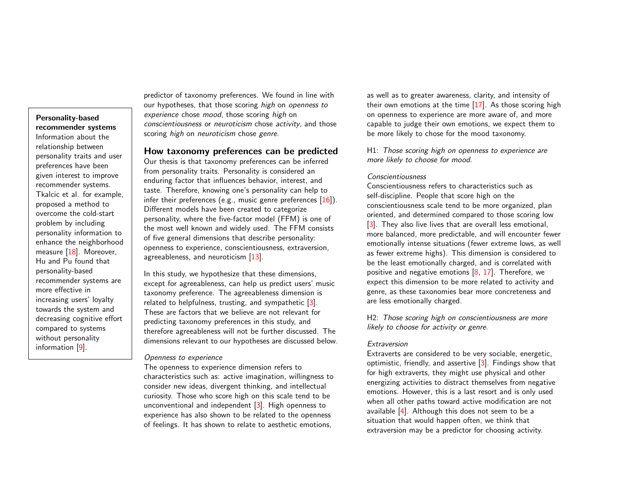### Personality-based recommender systems

Information about the relationship between personality traits and user preferences have been given interest to improve recommender systems. Tkalcic et al. for example, proposed a method to overcome the cold-start problem by including personality information to enhance the neighborhood measure [\[18\]](#page-5-9). Moreover, Hu and Pu found that personality-based recommender systems are more effective in increasing users' loyalty towards the system and decreasing cognitive effort compared to systems without personality information [\[9\]](#page-5-10).

predictor of taxonomy preferences. We found in line with our hypotheses, that those scoring *high* on *openness to* experience chose mood, those scoring high on conscientiousness or neuroticism chose activity, and those scoring high on neuroticism chose genre.

# How taxonomy preferences can be predicted

Our thesis is that taxonomy preferences can be inferred from personality traits. Personality is considered an enduring factor that influences behavior, interest, and taste. Therefore, knowing one's personality can help to infer their preferences (e.g., music genre preferences  $[16]$ ). Different models have been created to categorize personality, where the five-factor model (FFM) is one of the most well known and widely used. The FFM consists of five general dimensions that describe personality: openness to experience, conscientiousness, extraversion, agreeableness, and neuroticism [\[13\]](#page-5-11).

In this study, we hypothesize that these dimensions, except for agreeableness, can help us predict users' music taxonomy preference. The agreeableness dimension is related to helpfulness, trusting, and sympathetic [\[3\]](#page-5-12). These are factors that we believe are not relevant for predicting taxonomy preferences in this study, and therefore agreeableness will not be further discussed. The dimensions relevant to our hypotheses are discussed below.

#### Openness to experience

The openness to experience dimension refers to characteristics such as: active imagination, willingness to consider new ideas, divergent thinking, and intellectual curiosity. Those who score high on this scale tend to be unconventional and independent [\[3\]](#page-5-12). High openness to experience has also shown to be related to the openness of feelings. It has shown to relate to aesthetic emotions,

as well as to greater awareness, clarity, and intensity of their own emotions at the time  $[17]$ . As those scoring high on openness to experience are more aware of, and more capable to judge their own emotions, we expect them to be more likely to chose for the mood taxonomy.

H1: Those scoring high on openness to experience are more likely to choose for mood.

#### Conscientiousness

Conscientiousness refers to characteristics such as self-discipline. People that score high on the conscientiousness scale tend to be more organized, plan oriented, and determined compared to those scoring low [\[3\]](#page-5-12). They also live lives that are overall less emotional, more balanced, more predictable, and will encounter fewer emotionally intense situations (fewer extreme lows, as well as fewer extreme highs). This dimension is considered to be the least emotionally charged, and is correlated with positive and negative emotions  $[8, 17]$  $[8, 17]$  $[8, 17]$ . Therefore, we expect this dimension to be more related to activity and genre, as these taxonomies bear more concreteness and are less emotionally charged.

H2: Those scoring high on conscientiousness are more likely to choose for activity or genre.

#### Extraversion

Extraverts are considered to be very sociable, energetic, optimistic, friendly, and assertive [\[3\]](#page-5-12). Findings show that for high extraverts, they might use physical and other energizing activities to distract themselves from negative emotions. However, this is a last resort and is only used when all other paths toward active modification are not available [\[4\]](#page-5-15). Although this does not seem to be a situation that would happen often, we think that extraversion may be a predictor for choosing activity.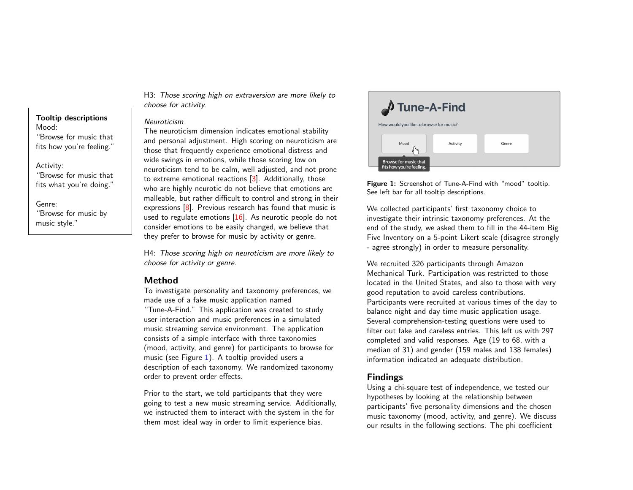Tooltip descriptions Mood: "Browse for music that fits how you're feeling."

Activity:

"Browse for music that fits what you're doing."

Genre: "Browse for music by music style."

H3: Those scoring high on extraversion are more likely to choose for activity.

## Neuroticism

The neuroticism dimension indicates emotional stability and personal adjustment. High scoring on neuroticism are those that frequently experience emotional distress and wide swings in emotions, while those scoring low on neuroticism tend to be calm, well adjusted, and not prone to extreme emotional reactions [\[3\]](#page-5-12). Additionally, those who are highly neurotic do not believe that emotions are malleable, but rather difficult to control and strong in their expressions [\[8\]](#page-5-14). Previous research has found that music is used to regulate emotions  $[16]$ . As neurotic people do not consider emotions to be easily changed, we believe that they prefer to browse for music by activity or genre.

H4: Those scoring high on neuroticism are more likely to choose for activity or genre.

# Method

To investigate personality and taxonomy preferences, we made use of a fake music application named "Tune-A-Find." This application was created to study user interaction and music preferences in a simulated music streaming service environment. The application consists of a simple interface with three taxonomies (mood, activity, and genre) for participants to browse for music (see Figure [1\)](#page-3-0). A tooltip provided users a description of each taxonomy. We randomized taxonomy order to prevent order effects.

Prior to the start, we told participants that they were going to test a new music streaming service. Additionally, we instructed them to interact with the system in the for them most ideal way in order to limit experience bias.



<span id="page-3-0"></span>Figure 1: Screenshot of Tune-A-Find with "mood" tooltip. See left bar for all tooltip descriptions.

We collected participants' first taxonomy choice to investigate their intrinsic taxonomy preferences. At the end of the study, we asked them to fill in the 44-item Big Five Inventory on a 5-point Likert scale (disagree strongly - agree strongly) in order to measure personality.

We recruited 326 participants through Amazon Mechanical Turk. Participation was restricted to those located in the United States, and also to those with very good reputation to avoid careless contributions. Participants were recruited at various times of the day to balance night and day time music application usage. Several comprehension-testing questions were used to filter out fake and careless entries. This left us with 297 completed and valid responses. Age (19 to 68, with a median of 31) and gender (159 males and 138 females) information indicated an adequate distribution.

# Findings

Using a chi-square test of independence, we tested our hypotheses by looking at the relationship between participants' five personality dimensions and the chosen music taxonomy (mood, activity, and genre). We discuss our results in the following sections. The phi coefficient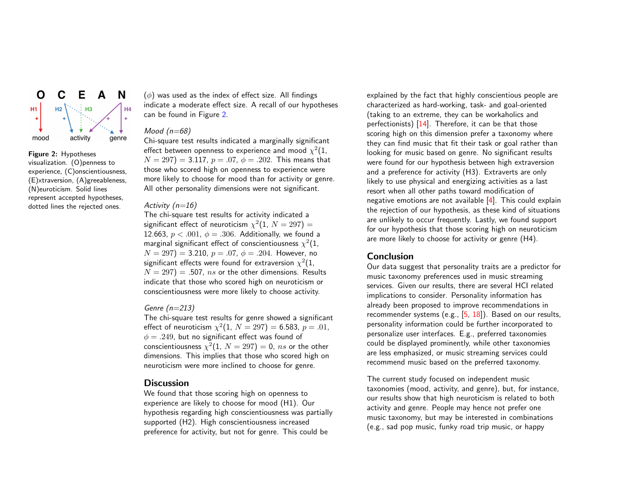

## <span id="page-4-0"></span>Figure 2: Hypotheses visualization. (O)penness to experience, (C)onscientiousness, (E)xtraversion, (A)greeableness, (N)euroticism. Solid lines represent accepted hypotheses, dotted lines the rejected ones.

 $(\phi)$  was used as the index of effect size. All findings indicate a moderate effect size. A recall of our hypotheses can be found in Figure [2.](#page-4-0)

## Mood  $(n=68)$

Chi-square test results indicated a marginally significant effect between openness to experience and mood  $\chi^2(1,1)$  $N = 297$ ) = 3.117,  $p = .07$ ,  $\phi = .202$ . This means that those who scored high on openness to experience were more likely to choose for mood than for activity or genre. All other personality dimensions were not significant.

## Activity  $(n=16)$

The chi-square test results for activity indicated a significant effect of neuroticism  $\chi^2(1, \, N=297)=0$ 12.663,  $p < .001$ ,  $\phi = .306$ . Additionally, we found a marginal significant effect of conscientiousness  $\chi^2(1,1)$  $N = 297$ ) = 3.210,  $p = .07$ ,  $\phi = .204$ . However, no significant effects were found for extraversion  $\chi^2(1,1)$  $N = 297$ ) = .507, ns or the other dimensions. Results indicate that those who scored high on neuroticism or conscientiousness were more likely to choose activity.

## Genre  $(n=213)$

The chi-square test results for genre showed a significant effect of neuroticism  $\chi^2(1,~N=297)=6.583,~p=.01,$  $\phi = .249$ , but no significant effect was found of conscientiousness  $\chi^2(1, \, N=297)=0, \, ns$  or the other dimensions. This implies that those who scored high on neuroticism were more inclined to choose for genre.

## **Discussion**

We found that those scoring high on openness to experience are likely to choose for mood (H1). Our hypothesis regarding high conscientiousness was partially supported (H2). High conscientiousness increased preference for activity, but not for genre. This could be

explained by the fact that highly conscientious people are characterized as hard-working, task- and goal-oriented (taking to an extreme, they can be workaholics and perfectionists) [\[14\]](#page-5-16). Therefore, it can be that those scoring high on this dimension prefer a taxonomy where they can find music that fit their task or goal rather than looking for music based on genre. No significant results were found for our hypothesis between high extraversion and a preference for activity (H3). Extraverts are only likely to use physical and energizing activities as a last resort when all other paths toward modification of negative emotions are not available  $[4]$ . This could explain the rejection of our hypothesis, as these kind of situations are unlikely to occur frequently. Lastly, we found support for our hypothesis that those scoring high on neuroticism are more likely to choose for activity or genre (H4).

## Conclusion

Our data suggest that personality traits are a predictor for music taxonomy preferences used in music streaming services. Given our results, there are several HCI related implications to consider. Personality information has already been proposed to improve recommendations in recommender systems (e.g., [\[5,](#page-5-17) [18\]](#page-5-9)). Based on our results, personality information could be further incorporated to personalize user interfaces. E.g., preferred taxonomies could be displayed prominently, while other taxonomies are less emphasized, or music streaming services could recommend music based on the preferred taxonomy.

The current study focused on independent music taxonomies (mood, activity, and genre), but, for instance, our results show that high neuroticism is related to both activity and genre. People may hence not prefer one music taxonomy, but may be interested in combinations (e.g., sad pop music, funky road trip music, or happy